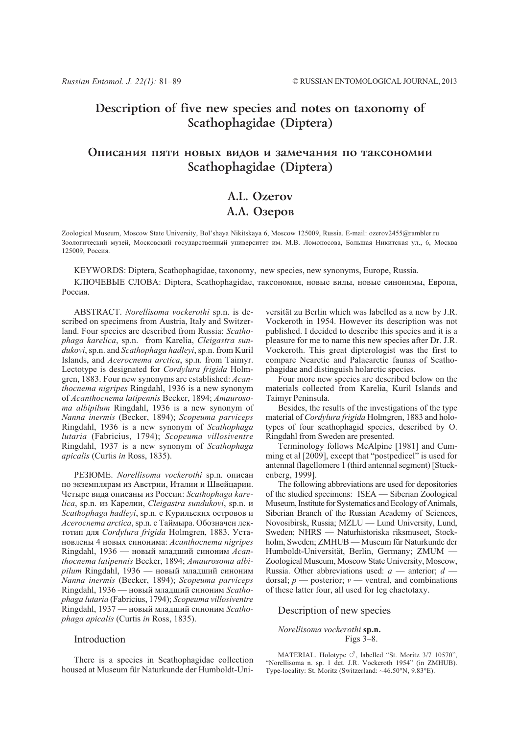## Description of five new species and notes on taxonomy of Scathophagidae (Diptera)

## Описания пяти новых видов и замечания по таксономии Scathophagidae (Diptera)

# A.L. Ozerov А.Л. Озеров

Zoological Museum, Moscow State University, Bol'shaya Nikitskaya 6, Moscow 125009, Russia. E-mail: ozerov2455@rambler.ru Зоологический музей, Московский государственный университет им. М.В. Ломоносова, Большая Никитская ул., 6, Москва 125009 Россия

KEYWORDS: Diptera, Scathophagidae, taxonomy, new species, new synonyms, Europe, Russia.

КЛЮЧЕВЫЕ СЛОВА: Diptera, Scathophagidae, таксономия, новые вилы, новые синонимы, Европа, Poccus

ABSTRACT. Norellisoma vockerothi sp.n. is described on specimens from Austria, Italy and Switzerland. Four species are described from Russia: Scathophaga karelica, sp.n. from Karelia, Cleigastra sundukovi, sp.n. and Scathophaga hadlevi, sp.n. from Kuril Islands, and Acerocnema arctica, sp.n. from Taimyr. Lectotype is designated for *Cordylura frigida* Holmgren, 1883. Four new synonyms are established: Acan*thocnema nigripes* Ringdahl, 1936 is a new synonym of Acanthocnema latipennis Becker, 1894; Amaurosoma albipilum Ringdahl, 1936 is a new synonym of Nanna inermis (Becker, 1894); Scopeuma parviceps Ringdahl, 1936 is a new synonym of Scathophaga lutaria (Fabricius, 1794); Scopeuma villosiventre Ringdahl, 1937 is a new synonym of Scathophaga apicalis (Curtis in Ross, 1835).

PE3ЮME. Norellisoma vockerothi sp.n. описан по экземплярам из Австрии, Италии и Швейцарии. Четыре вида описаны из России: Scathophaga karelica, sp.n. из Карелии, Cleigastra sundukovi, sp.n. и Scathophaga hadleyi, sp.n. с Курильских островов и Acerocnema arctica, sp.n. с Таймыра. Обозначен лектотип для Cordylura frigida Holmgren, 1883. Установлены 4 новых синонима: Acanthocnema nigripes Ringdahl, 1936 — новый младший синоним Acanthocnema latipennis Becker, 1894; Amaurosoma albipilum Ringdahl, 1936 — новый младший синоним Nanna inermis (Becker, 1894); Scopeuma parviceps Ringdahl, 1936 — новый младший синоним Scathophaga lutaria (Fabricius, 1794); Scopeuma villosiventre Ringdahl, 1937 — новый младший синоним Scathophaga apicalis (Curtis in Ross, 1835).

### Introduction

There is a species in Scathophagidae collection housed at Museum für Naturkunde der Humboldt-Uni-

versität zu Berlin which was labelled as a new by J.R. Vockeroth in 1954. However its description was not published. I decided to describe this species and it is a pleasure for me to name this new species after Dr. J.R. Vockeroth. This great dipterologist was the first to compare Nearctic and Palaearctic faunas of Scathophagidae and distinguish holarctic species.

Four more new species are described below on the materials collected from Karelia, Kuril Islands and Taimvr Peninsula.

Besides, the results of the investigations of the type material of Cordylura frigida Holmgren, 1883 and holotypes of four scathophagid species, described by O. Ringdahl from Sweden are presented.

Terminology follows McAlpine [1981] and Cumming et al [2009], except that "postpedicel" is used for antennal flagellomere 1 (third antennal segment) [Stuckenberg, 1999].

The following abbreviations are used for depositories of the studied specimens: ISEA — Siberian Zoological Museum, Institute for Systematics and Ecology of Animals, Siberian Branch of the Russian Academy of Sciences, Novosibirsk, Russia; MZLU - Lund University, Lund, Sweden; NHRS - Naturhistoriska riksmuseet, Stockholm, Sweden; ZMHUB - Museum für Naturkunde der Humboldt-Universität, Berlin, Germany; ZMUM -Zoological Museum, Moscow State University, Moscow, Russia. Other abbreviations used:  $a$  — anterior;  $d$  dorsal;  $p$  — posterior;  $v$  — ventral, and combinations of these latter four, all used for leg chaetotaxy.

## Description of new species

Norellisoma vockerothi sp.n. Figs  $3-8$ .

MATERIAL. Holotype  $\circlearrowleft$ , labelled "St. Moritz 3/7 10570", "Norellisoma n. sp. 1 det. J.R. Vockeroth 1954" (in ZMHUB). Type-locality: St. Moritz (Switzerland: ~46.50°N, 9.83°E).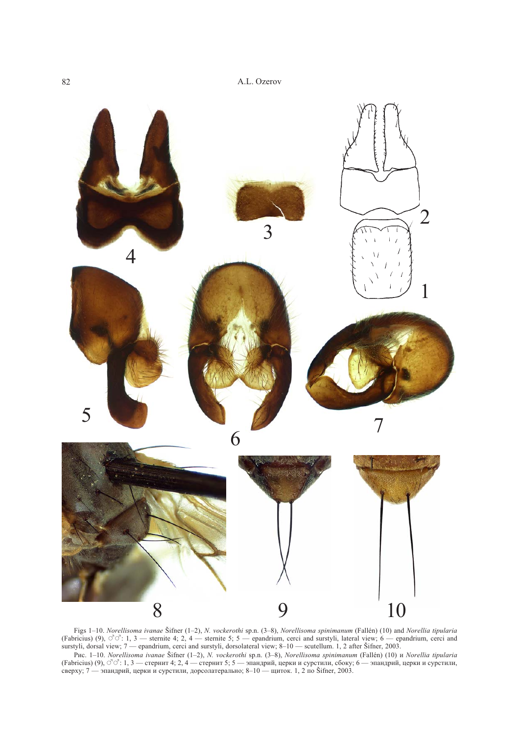

Figs 1–10. Norellisoma ivanae Šifner (1–2), N. vockerothi sp.n. (3–8), Norellisoma spinimanum (Fallén) (10) and Norellia tipularia (Fabricius) (9),  $\vec{C}\vec{C}$ : 1, 3 — sternite 4; 2, 4 — sternite 5; 5 — epandrium, cerci a

Puc. 1-10. Norellisoma ivanae Šifner (1-2), N. vockerothi sp.n. (3-8), Norellisoma spinimanum (Fallén) (10) u Norellia tipularia (Fabricius) (9),  $\sigma^2$ : 1, 3 — стернит 4; 2, 4 — стернит 5; 5 — эпандрий, церки и сурстили, сбоку; 6 — эпандрий, церки и сурстили, сверху; 7 — эпандрий, церки и сурстили, дорсолатерально; 8-10 — щиток. 1, 2 по Šifner, 2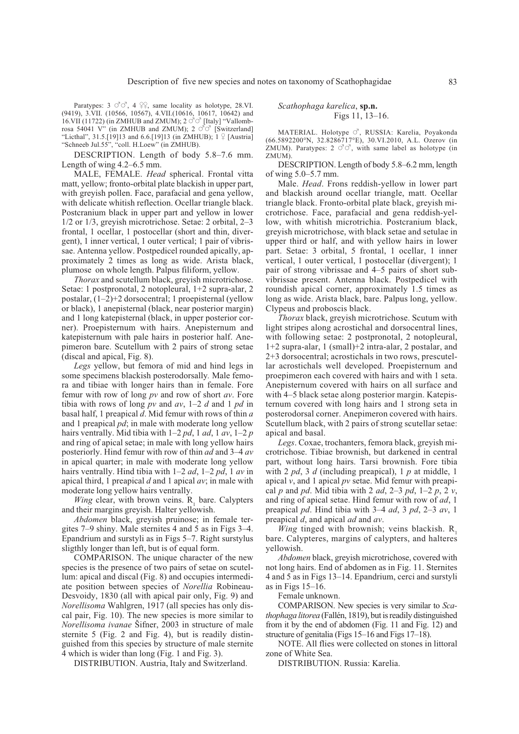Paratypes: 3  $\circlearrowleft$   $\circlearrowleft$ , 4  $\circlearrowright$ , same locality as holotype, 28.VI. (9419), 3.VII. (10566, 10567), 4.VII.(10616, 10617, 10642) and 16.VII (11722) (in ZMHUB and ZMUM);  $2 \circ \overline{\circ}$  [Italy] "Vallombrosa 54041 V" (in ZMHUB and ZMUM);  $2 \circ \circ \circ$  [Switzerland] "Licthal", 31.5.[19]13 and 6.6.[19]13 (in ZMHUB);  $1 \nsubseteq$  [Austria] "Schneeb Jul.55", "coll. H.Loew" (in ZMHUB).

DESCRIPTION. Length of body 5.8–7.6 mm. Length of wing 4.2–6.5 mm.

MALE, FEMALE. Head spherical. Frontal vitta matt, yellow; fronto-orbital plate blackish in upper part, with greyish pollen. Face, parafacial and gena yellow, with delicate whitish reflection. Ocellar triangle black. Postcranium black in upper part and yellow in lower  $1/2$  or  $1/3$ , greyish microtrichose. Setae: 2 orbital, 2–3 frontal, 1 ocellar, 1 postocellar (short and thin, divergent), 1 inner vertical, 1 outer vertical; 1 pair of vibrissae. Antenna yellow. Postpedicel rounded apically, approximately 2 times as long as wide. Arista black, plumose on whole length. Palpus filiform, yellow.

Thorax and scutellum black, greyish microtrichose. Setae: 1 postpronotal, 2 notopleural, 1+2 supra-alar, 2 postalar, (1-2)+2 dorsocentral; 1 proepisternal (yellow or black), 1 anepisternal (black, near posterior margin) and 1 long katepisternal (black, in upper posterior corner). Proepisternum with hairs. Anepisternum and katepisternum with pale hairs in posterior half. Anepimeron bare. Scutellum with 2 pairs of strong setae (discal and apical, Fig. 8).

Legs yellow, but femora of mid and hind legs in some specimens blackish posterodorsally. Male femora and tibiae with longer hairs than in female. Fore femur with row of long  $pv$  and row of short  $av$ . Fore tibia with rows of long pv and av, 1–2 d and 1 pd in basal half, 1 preapical  $d$ . Mid femur with rows of thin  $a$ and 1 preapical pd; in male with moderate long yellow hairs ventrally. Mid tibia with  $1-2$  pd, 1 ad, 1 av,  $1-2$  p and ring of apical setae; in male with long yellow hairs posteriorly. Hind femur with row of thin *ad* and 3–4 *av* in apical quarter; in male with moderate long yellow hairs ventrally. Hind tibia with  $1-2 ad$ ,  $1-2 pd$ ,  $1 av$  in apical third, 1 preapical  $d$  and 1 apical  $av$ ; in male with moderate long yellow hairs ventrally.

*Wing* clear, with brown veins.  $R_1$  bare. Calypters and their margins greyish. Halter yellowish.

Abdomen black, greyish pruinose; in female tergites 7-9 shiny. Male sternites 4 and 5 as in Figs 3-4. Epandrium and surstyli as in Figs 5-7. Right surstylus sligthly longer than left, but is of equal form.

COMPARISON. The unique character of the new species is the presence of two pairs of setae on scutellum: apical and discal (Fig. 8) and occupies intermediate position between species of Norellia Robineau-Desvoidy, 1830 (all with apical pair only, Fig. 9) and *Norellisoma* Wahlgren, 1917 (all species has only discal pair, Fig. 10). The new species is more similar to Norellisoma ivanae Šifner, 2003 in structure of male sternite 5 (Fig. 2 and Fig. 4), but is readily distinguished from this species by structure of male sternite 4 which is wider than long (Fig. 1 and Fig. 3).

DISTRIBUTION. Austria, Italy and Switzerland.

#### Scathophaga karelica, sp.n. Figs  $11, 13-16.$

MATERIAL. Holotype O'. RUSSIA: Karelia. Povakonda (66.5892200°N, 32.8286717°E), 30.VI.2010, A.L. Ozerov (in ZMUM). Paratypes:  $2 \circ \circ \circ$ , with same label as holotype (in ZMUM)

DESCRIPTION. Length of body 5.8-6.2 mm, length of wing  $5.0 - 5.7$  mm.

Male. Head. Frons reddish-yellow in lower part and blackish around ocellar triangle, matt. Ocellar triangle black. Fronto-orbital plate black, greyish microtrichose. Face, parafacial and gena reddish-yellow, with whitish microtrichia. Postcranium black, greyish microtrichose, with black setae and setulae in upper third or half, and with yellow hairs in lower part. Setae: 3 orbital, 5 frontal, 1 ocellar, 1 inner vertical, 1 outer vertical, 1 postocellar (divergent); 1 pair of strong vibrissae and 4-5 pairs of short subvibrissae present. Antenna black. Postpedicel with roundish apical corner, approximately 1.5 times as long as wide. Arista black, bare. Palpus long, yellow. Clypeus and proboscis black.

Thorax black, greyish microtrichose. Scutum with light stripes along acrostichal and dorsocentral lines, with following setae: 2 postpronotal, 2 notopleural,  $1+2$  supra-alar, 1 (small)+2 intra-alar, 2 postalar, and 2+3 dorsocentral; acrostichals in two rows, prescutellar acrostichals well developed. Proepisternum and proepimeron each covered with hairs and with 1 seta. Anepisternum covered with hairs on all surface and with 4-5 black setae along posterior margin. Katepisternum covered with long hairs and 1 strong seta in posterodorsal corner. Anepimeron covered with hairs. Scutellum black, with 2 pairs of strong scutellar setae: apical and basal.

Legs. Coxae, trochanters, femora black, greyish microtrichose. Tibiae brownish, but darkened in central part, without long hairs. Tarsi brownish. Fore tibia with 2  $pd$ , 3 d (including preapical), 1  $p$  at middle, 1 apical  $v$ , and 1 apical  $pv$  setae. Mid femur with preapical p and pd. Mid tibia with 2 ad, 2–3 pd, 1–2 p, 2 v, and ring of apical setae. Hind femur with row of ad, 1 preapical pd. Hind tibia with  $3-4$  ad,  $3$  pd,  $2-3$  av, 1 preapical  $d$ , and apical  $ad$  and  $av$ .

Wing tinged with brownish; veins blackish.  $R_1$ bare. Calypteres, margins of calypters, and halteres vellowish.

Abdomen black, greyish microtrichose, covered with not long hairs. End of abdomen as in Fig. 11. Sternites 4 and 5 as in Figs 13–14. Epandrium, cerci and surstyli as in Figs  $15-16$ .

Female unknown.

COMPARISON. New species is very similar to Scathophaga litorea (Fallén, 1819), but is readily distinguished from it by the end of abdomen (Fig. 11 and Fig. 12) and structure of genitalia (Figs 15–16 and Figs 17–18).

NOTE. All flies were collected on stones in littoral zone of White Sea.

DISTRIBUTION. Russia: Karelia.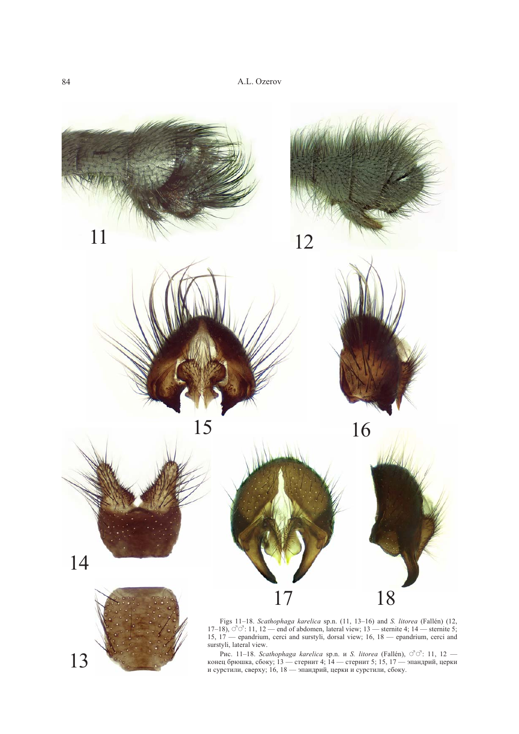

Figs 11-18. Scathophaga karelica sp.n. (11, 13-16) and S. litorea (Fallén) (12, 17-18),  $\vec{C} \vec{C}$ : 11, 12 — end of abdomen, lateral view; 13 — sternite 4; 14 — sternite 5; 15, 17 — epandrium, cerci and surstyli, dorsal

13

Puc. 11–18. *Scathophaga karelica* sp.n. и *S. litorea* (Fallén),  $\circ$  $\circ$ <sup>2</sup>: 11, 12 — конец брюшка, сбоку; 13 — стернит 4; 14 — стернит 5; 15, 17 — эпандрий, церки и сурстили, сверху; 16, 18 — эпандрий, церки и сурстил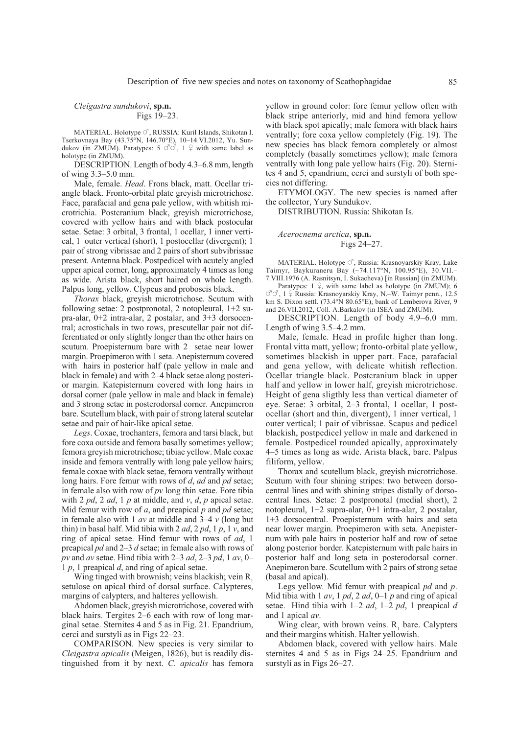#### Cleigastra sundukovi, sp.n. Figs 19-23.

MATERIAL. Holotype  $\circ$ <sup>7</sup>, RUSSIA: Kuril Islands, Shikotan I. Tserkovnaya Bay (43.75°N, 146.70°E), 10–14.VI.2012, Yu. Sundukov (in ZMUM). Paratypes:  $5 \circ \circ \circ$ ,  $1 \circ$  with same label as holotype (in ZMUM).

DESCRIPTION. Length of body 4.3-6.8 mm, length of wing  $3.3-5.0$  mm.

Male, female. Head. Frons black, matt. Ocellar triangle black. Fronto-orbital plate greyish microtrichose. Face, parafacial and gena pale yellow, with whitish microtrichia. Postcranium black, greyish microtrichose, covered with yellow hairs and with black postocular setae. Setae: 3 orbital, 3 frontal, 1 ocellar, 1 inner vertical, 1 outer vertical (short), 1 postocellar (divergent); 1 pair of strong vibrissae and 2 pairs of short subvibrissae present. Antenna black. Postpedicel with acutely angled upper apical corner, long, approximately 4 times as long as wide. Arista black, short haired on whole length. Palpus long, yellow. Clypeus and proboscis black.

Thorax black, greyish microtrichose. Scutum with following setae: 2 postpronotal, 2 notopleural,  $1+2$  supra-alar, 0+2 intra-alar, 2 postalar, and 3+3 dorsocentral; acrostichals in two rows, prescutellar pair not differentiated or only slightly longer than the other hairs on scutum. Proepisternum bare with 2 setae near lower margin. Proepimeron with 1 seta. Anepisternum covered with hairs in posterior half (pale yellow in male and black in female) and with 2–4 black setae along posterior margin. Katepisternum covered with long hairs in dorsal corner (pale yellow in male and black in female) and 3 strong setae in posterodorsal corner. Anepimeron bare. Scutellum black, with pair of strong lateral scutelar setae and pair of hair-like apical setae.

Legs. Coxae, trochanters, femora and tarsi black, but fore coxa outside and femora basally sometimes yellow; femora greyish microtrichose; tibiae yellow. Male coxae inside and femora ventrally with long pale yellow hairs; female coxae with black setae, femora ventrally without long hairs. Fore femur with rows of d, ad and pd setae; in female also with row of  $pv$  long thin setae. Fore tibia with 2  $pd$ , 2  $ad$ , 1  $p$  at middle, and  $v$ ,  $d$ ,  $p$  apical setae. Mid femur with row of  $a$ , and preapical  $p$  and  $pd$  setae; in female also with 1  $av$  at middle and 3-4  $v$  (long but thin) in basal half. Mid tibia with 2  $ad$ , 2  $pd$ , 1  $p$ , 1  $v$ , and ring of apical setae. Hind femur with rows of ad, 1 preapical  $pd$  and 2-3  $d$  setae; in female also with rows of pv and av setae. Hind tibia with 2-3 ad, 2-3 pd, 1 av, 0- $1 p$ , 1 preapical d, and ring of apical setae.

Wing tinged with brownish; veins blackish; vein R. setulose on apical third of dorsal surface. Calypteres, margins of calypters, and halteres yellowish.

Abdomen black, greyish microtrichose, covered with black hairs. Tergites 2–6 each with row of long marginal setae. Sternites 4 and 5 as in Fig. 21. Epandrium, cerci and surstyli as in Figs 22–23.

COMPARISON. New species is very similar to Cleigastra apicalis (Meigen, 1826), but is readily distinguished from it by next. C. apicalis has femora

yellow in ground color: fore femur yellow often with black stripe anteriorly, mid and hind femora yellow with black spot apically; male femora with black hairs ventrally; fore coxa yellow completely (Fig. 19). The new species has black femora completely or almost completely (basally sometimes yellow); male femora ventrally with long pale yellow hairs (Fig. 20). Sternites 4 and 5, epandrium, cerci and surstyli of both species not differing.

ETYMOLOGY. The new species is named after the collector, Yury Sundukov.

DISTRIBUTION. Russia: Shikotan Is.

Acerocnema arctica, sp.n. Figs 24-27.

MATERIAL. Holotype  $\circlearrowleft$ , Russia: Krasnoyarskiy Kray, Lake Taimyr, Baykuraneru Bay (~74.117°N, 100.95°E), 30.VII.-7. VIII.1976 (A. Rasnitsyn, I. Sukacheva) [in Russian] (in ZMUM).

Paratypes:  $1 \nvert 2$ , with same label as holotype (in ZMUM); 6  $\circ$   $\circ$  1  $\circ$  Russia: Krasnovarskiy Kray, N.–W. Taimyr penn., 12.5 km S. Dixon settl. (73.4°N 80.65°E), bank of Lemberova River, 9 and 26.VII.2012, Coll. A.Barkalov (in ISEA and ZMUM).

DESCRIPTION. Length of body 4.9–6.0 mm. Length of wing 3.5–4.2 mm.

Male, female. Head in profile higher than long. Frontal vitta matt, yellow; fronto-orbital plate yellow, sometimes blackish in upper part. Face, parafacial and gena yellow, with delicate whitish reflection. Ocellar triangle black. Postcranium black in upper half and yellow in lower half, greyish microtrichose. Height of gena sligthly less than vertical diameter of eye. Setae: 3 orbital, 2-3 frontal, 1 ocellar, 1 postocellar (short and thin, divergent), 1 inner vertical, 1 outer vertical; 1 pair of vibrissae. Scapus and pedicel blackish, postpedicel yellow in male and darkened in female. Postpedicel rounded apically, approximately 4–5 times as long as wide. Arista black, bare. Palpus filiform, yellow.

Thorax and scutellum black, greyish microtrichose. Scutum with four shining stripes: two between dorsocentral lines and with shining stripes distally of dorsocentral lines. Setae: 2 postpronotal (medial short), 2 notopleural, 1+2 supra-alar, 0+1 intra-alar, 2 postalar, 1+3 dorsocentral. Proepisternum with hairs and seta near lower margin. Proepimeron with seta. Anepisternum with pale hairs in posterior half and row of setae along posterior border. Katepisternum with pale hairs in posterior half and long seta in posterodorsal corner. Anepimeron bare. Scutellum with 2 pairs of strong setae (basal and apical).

Legs yellow. Mid femur with preapical  $pd$  and  $p$ . Mid tibia with 1 av, 1 pd, 2 ad, 0–1 p and ring of apical setae. Hind tibia with  $1-2$  *ad*,  $1-2$  *pd*, 1 preapical *d* and 1 apical  $av$ .

Wing clear, with brown veins. R, bare. Calypters and their margins whitish. Halter yellowish.

Abdomen black, covered with yellow hairs. Male sternites 4 and 5 as in Figs 24-25. Epandrium and surstyli as in Figs 26-27.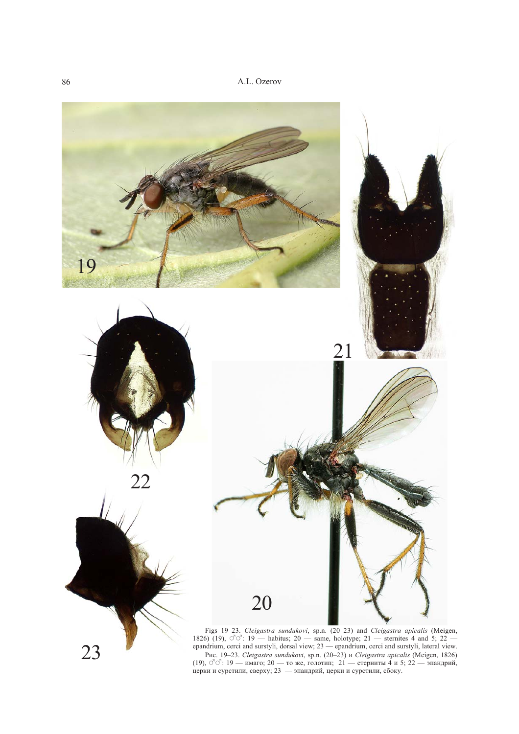

Рис. 19-23. Cleigastra sundukovi, sp.n. (20-23) и Cleigastra apicalis (Meigen, 1826)  $(19)$ ,  $\vec{C}$  $\vec{C}$ :  $19$  — имаго;  $20$  — то же, голотип;  $21$  — стерниты 4 и 5;  $22$  — эпандрий, церки и сурстили, сверху;  $23$  — эпандрий, церки и сурстили, сбоку.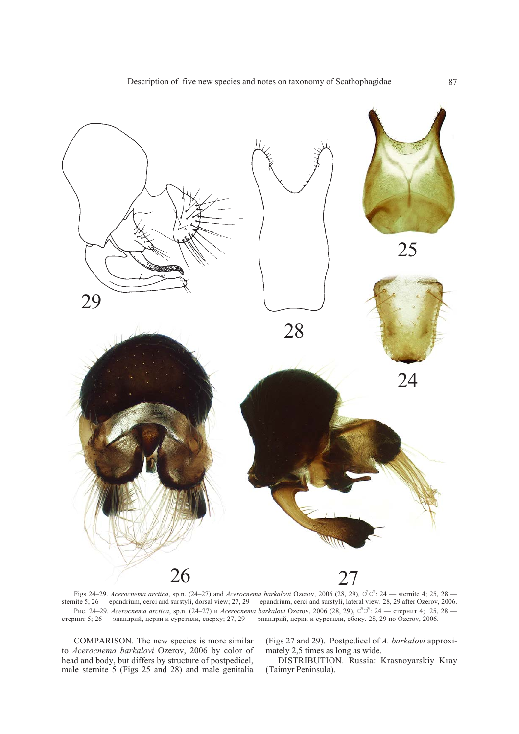

Figs 24-29. Acerocnema arctica, sp.n. (24-27) and Acerocnema barkalovi Ozerov, 2006 (28, 29),  $\vec{\circ} \vec{\circ}$ : 24 - sternite 4; 25, 28 sternite 5; 26 - epandrium, cerci and surstyli, dorsal view; 27, 29 - epandrium, cerci and surstyli, lateral view. 28, 29 after Ozerov, 2006. Рис. 24–29. Асегослета arctica, sp.n. (24–27) и Асегослета barkalovi Ozerov, 2006 (28, 29), О О : 24 — стернит 4; 25, 28 — стернит 5; 26 — эпандрий, церки и сурстили, сверху; 27, 29 — эпандрий, церки и сурстили, сбоку. 2

COMPARISON. The new species is more similar to Acerocnema barkalovi Ozerov, 2006 by color of head and body, but differs by structure of postpedicel, male sternite 5 (Figs 25 and 28) and male genitalia

(Figs 27 and 29). Postpedicel of A. barkalovi approximately 2,5 times as long as wide.

DISTRIBUTION. Russia: Krasnoyarskiy Kray (Taimyr Peninsula).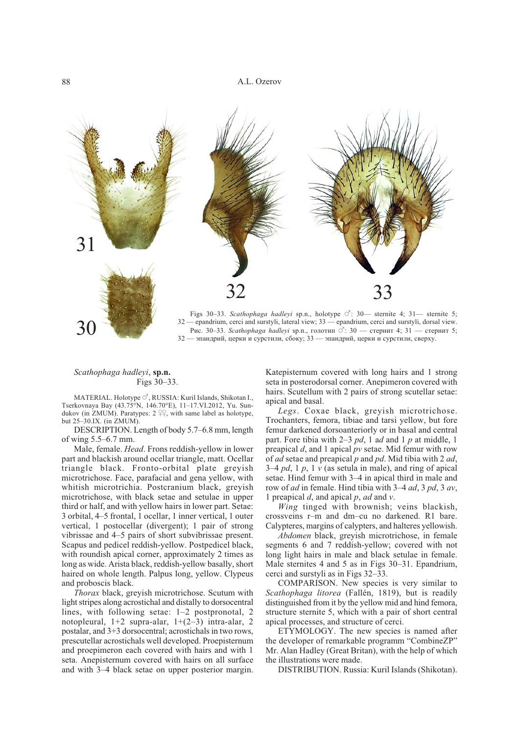

Figs 30-33. Scathophaga hadleyi sp.n., holotype  $\circlearrowleft$ : 30- sternite 4; 31- sternite 5; 32 - epandrium, cerci and surstyli, lateral view; 33 - epandrium, cerci and surstyli, dorsal view. Рис. 30-33. Scathophaga hadleyi sp.n., голотип  $\circ$ : 30 — стернит 4; 31 — стернит 5; 32 — эпандрий, церки и сурстили, сбоку; 33 — эпандрий, церки и сурстили, сверху.

## Scathophaga hadleyi, sp.n. Figs 30-33.

30

 $\text{MATERIAL}$ . Holotype $\circlearrowleft$ , RUSSIA: Kuril Islands, Shikotan I., Tserkovnaya Bay (43.75°N, 146.70°E), 11-17.VI.2012, Yu. Sundukov (in ZMUM). Paratypes:  $2 \frac{Q}{I}$ , with same label as holotype, but 25-30.IX. (in ZMUM).

DESCRIPTION. Length of body 5.7–6.8 mm, length of wing  $5.5-6.7$  mm.

Male, female. Head. Frons reddish-yellow in lower part and blackish around ocellar triangle, matt. Ocellar triangle black. Fronto-orbital plate greyish microtrichose. Face, parafacial and gena yellow, with whitish microtrichia. Postcranium black, greyish microtrichose, with black setae and setulae in upper third or half, and with yellow hairs in lower part. Setae: 3 orbital, 4–5 frontal, 1 ocellar, 1 inner vertical, 1 outer vertical, 1 postocellar (divergent); 1 pair of strong vibrissae and 4–5 pairs of short subvibrissae present. Scapus and pedicel reddish-yellow. Postpedicel black, with roundish apical corner, approximately 2 times as long as wide. Arista black, reddish-yellow basally, short haired on whole length. Palpus long, yellow. Clypeus and proboscis black.

Thorax black, greyish microtrichose. Scutum with light stripes along acrostichal and distally to dorsocentral lines, with following setae: 1-2 postpronotal, 2 notopleural,  $1+2$  supra-alar,  $1+(2-3)$  intra-alar, 2 postalar, and 3+3 dorsocentral; acrostichals in two rows, prescutellar acrostichals well developed. Proepisternum and proepimeron each covered with hairs and with 1 seta. Anepisternum covered with hairs on all surface and with 3-4 black setae on upper posterior margin.

Katepisternum covered with long hairs and 1 strong seta in posterodorsal corner. Anepimeron covered with hairs. Scutellum with 2 pairs of strong scutellar setae: apical and basal.

Legs. Coxae black, greyish microtrichose. Trochanters, femora, tibiae and tarsi yellow, but fore femur darkened dorsoanteriorly or in basal and central part. Fore tibia with 2–3  $pd$ , 1 ad and 1 p at middle, 1 preapical  $d$ , and 1 apical  $pv$  setae. Mid femur with row of *ad* setae and preapical p and pd. Mid tibia with 2 *ad*, 3–4 pd, 1 p, 1 v (as setula in male), and ring of apical setae. Hind femur with 3-4 in apical third in male and row of *ad* in female. Hind tibia with 3–4 *ad*, 3 *pd*, 3 *av*, 1 preapical  $d$ , and apical  $p$ ,  $ad$  and  $v$ .

Wing tinged with brownish; veins blackish, crossveins r-m and dm-cu no darkened. R1 bare. Calypteres, margins of calypters, and halteres yellowish.

Abdomen black, greyish microtrichose, in female segments 6 and 7 reddish-yellow; covered with not long light hairs in male and black setulae in female. Male sternites 4 and 5 as in Figs 30–31. Epandrium, cerci and surstyli as in Figs 32–33.

COMPARISON. New species is very similar to Scathophaga litorea (Fallén, 1819), but is readily distinguished from it by the yellow mid and hind femora, structure sternite 5, which with a pair of short central apical processes, and structure of cerci.

ETYMOLOGY. The new species is named after the developer of remarkable programm "CombineZP" Mr. Alan Hadley (Great Britan), with the help of which the illustrations were made.

DISTRIBUTION. Russia: Kuril Islands (Shikotan).